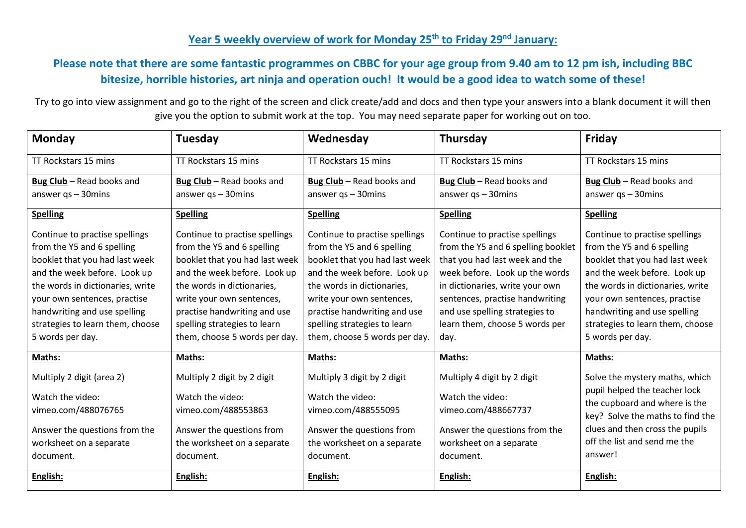## **Year 5 weekly overview of work for Monday 25th to Friday 29 nd January:**

## **Please note that there are some fantastic programmes on CBBC for your age group from 9.40 am to 12 pm ish, including BBC bitesize, horrible histories, art ninja and operation ouch! It would be a good idea to watch some of these!**

Try to go into view assignment and go to the right of the screen and click create/add and docs and then type your answers into a blank document it will then give you the option to submit work at the top. You may need separate paper for working out on too.

| Monday                                                                                                                                                                                                                                                                                     | <b>Tuesday</b>                                                                                                                                                                                                                                                                             | Wednesday                                                                                                                                                                                                                                                                                  | Thursday                                                                                                                                                                                                                                                                                   | Friday                                                                                                                                                                                                                                                                                     |
|--------------------------------------------------------------------------------------------------------------------------------------------------------------------------------------------------------------------------------------------------------------------------------------------|--------------------------------------------------------------------------------------------------------------------------------------------------------------------------------------------------------------------------------------------------------------------------------------------|--------------------------------------------------------------------------------------------------------------------------------------------------------------------------------------------------------------------------------------------------------------------------------------------|--------------------------------------------------------------------------------------------------------------------------------------------------------------------------------------------------------------------------------------------------------------------------------------------|--------------------------------------------------------------------------------------------------------------------------------------------------------------------------------------------------------------------------------------------------------------------------------------------|
| TT Rockstars 15 mins                                                                                                                                                                                                                                                                       | TT Rockstars 15 mins                                                                                                                                                                                                                                                                       | TT Rockstars 15 mins                                                                                                                                                                                                                                                                       | TT Rockstars 15 mins                                                                                                                                                                                                                                                                       | TT Rockstars 15 mins                                                                                                                                                                                                                                                                       |
| Bug Club - Read books and<br>answer $qs - 30$ mins                                                                                                                                                                                                                                         | Bug Club - Read books and<br>answer $qs - 30$ mins                                                                                                                                                                                                                                         | Bug Club - Read books and<br>answer $qs - 30$ mins                                                                                                                                                                                                                                         | Bug Club - Read books and<br>answer $qs - 30$ mins                                                                                                                                                                                                                                         | Bug Club - Read books and<br>answer $qs - 30$ mins                                                                                                                                                                                                                                         |
|                                                                                                                                                                                                                                                                                            |                                                                                                                                                                                                                                                                                            |                                                                                                                                                                                                                                                                                            |                                                                                                                                                                                                                                                                                            |                                                                                                                                                                                                                                                                                            |
| <b>Spelling</b>                                                                                                                                                                                                                                                                            | <b>Spelling</b>                                                                                                                                                                                                                                                                            | <b>Spelling</b>                                                                                                                                                                                                                                                                            | <b>Spelling</b>                                                                                                                                                                                                                                                                            | <b>Spelling</b>                                                                                                                                                                                                                                                                            |
| Continue to practise spellings<br>from the Y5 and 6 spelling<br>booklet that you had last week<br>and the week before. Look up<br>the words in dictionaries, write<br>your own sentences, practise<br>handwriting and use spelling<br>strategies to learn them, choose<br>5 words per day. | Continue to practise spellings<br>from the Y5 and 6 spelling<br>booklet that you had last week<br>and the week before. Look up<br>the words in dictionaries,<br>write your own sentences,<br>practise handwriting and use<br>spelling strategies to learn<br>them, choose 5 words per day. | Continue to practise spellings<br>from the Y5 and 6 spelling<br>booklet that you had last week<br>and the week before. Look up<br>the words in dictionaries,<br>write your own sentences,<br>practise handwriting and use<br>spelling strategies to learn<br>them, choose 5 words per day. | Continue to practise spellings<br>from the Y5 and 6 spelling booklet<br>that you had last week and the<br>week before. Look up the words<br>in dictionaries, write your own<br>sentences, practise handwriting<br>and use spelling strategies to<br>learn them, choose 5 words per<br>day. | Continue to practise spellings<br>from the Y5 and 6 spelling<br>booklet that you had last week<br>and the week before. Look up<br>the words in dictionaries, write<br>your own sentences, practise<br>handwriting and use spelling<br>strategies to learn them, choose<br>5 words per day. |
| Maths:                                                                                                                                                                                                                                                                                     | Maths:                                                                                                                                                                                                                                                                                     | Maths:                                                                                                                                                                                                                                                                                     | Maths:                                                                                                                                                                                                                                                                                     | Maths:                                                                                                                                                                                                                                                                                     |
| Multiply 2 digit (area 2)<br>Watch the video:<br>vimeo.com/488076765<br>Answer the questions from the<br>worksheet on a separate<br>document.                                                                                                                                              | Multiply 2 digit by 2 digit<br>Watch the video:<br>vimeo.com/488553863<br>Answer the questions from<br>the worksheet on a separate<br>document.                                                                                                                                            | Multiply 3 digit by 2 digit<br>Watch the video:<br>vimeo.com/488555095<br>Answer the questions from<br>the worksheet on a separate<br>document.                                                                                                                                            | Multiply 4 digit by 2 digit<br>Watch the video:<br>vimeo.com/488667737<br>Answer the questions from the<br>worksheet on a separate<br>document.                                                                                                                                            | Solve the mystery maths, which<br>pupil helped the teacher lock<br>the cupboard and where is the<br>key? Solve the maths to find the<br>clues and then cross the pupils<br>off the list and send me the<br>answer!                                                                         |
| English:                                                                                                                                                                                                                                                                                   | English:                                                                                                                                                                                                                                                                                   | English:                                                                                                                                                                                                                                                                                   | English:                                                                                                                                                                                                                                                                                   | English:                                                                                                                                                                                                                                                                                   |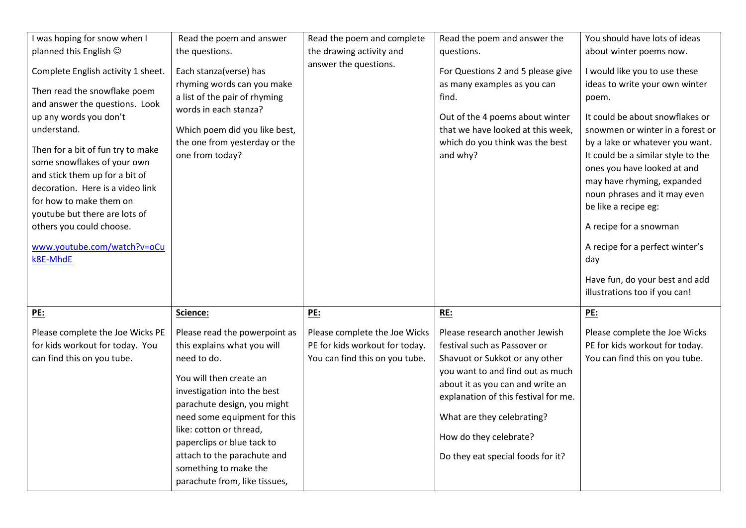| I was hoping for snow when I<br>planned this English $\odot$<br>Complete English activity 1 sheet.<br>Then read the snowflake poem<br>and answer the questions. Look<br>up any words you don't<br>understand.<br>Then for a bit of fun try to make<br>some snowflakes of your own<br>and stick them up for a bit of<br>decoration. Here is a video link<br>for how to make them on<br>youtube but there are lots of<br>others you could choose.<br>www.youtube.com/watch?v=oCu<br>k8E-MhdE | Read the poem and answer<br>the questions.<br>Each stanza(verse) has<br>rhyming words can you make<br>a list of the pair of rhyming<br>words in each stanza?<br>Which poem did you like best,<br>the one from yesterday or the<br>one from today?                                                        | Read the poem and complete<br>the drawing activity and<br>answer the questions.                                 | Read the poem and answer the<br>questions.<br>For Questions 2 and 5 please give<br>as many examples as you can<br>find.<br>Out of the 4 poems about winter<br>that we have looked at this week,<br>which do you think was the best<br>and why?                                                                       | You should have lots of ideas<br>about winter poems now.<br>I would like you to use these<br>ideas to write your own winter<br>poem.<br>It could be about snowflakes or<br>snowmen or winter in a forest or<br>by a lake or whatever you want.<br>It could be a similar style to the<br>ones you have looked at and<br>may have rhyming, expanded<br>noun phrases and it may even<br>be like a recipe eg:<br>A recipe for a snowman<br>A recipe for a perfect winter's<br>day<br>Have fun, do your best and add<br>illustrations too if you can! |
|--------------------------------------------------------------------------------------------------------------------------------------------------------------------------------------------------------------------------------------------------------------------------------------------------------------------------------------------------------------------------------------------------------------------------------------------------------------------------------------------|----------------------------------------------------------------------------------------------------------------------------------------------------------------------------------------------------------------------------------------------------------------------------------------------------------|-----------------------------------------------------------------------------------------------------------------|----------------------------------------------------------------------------------------------------------------------------------------------------------------------------------------------------------------------------------------------------------------------------------------------------------------------|--------------------------------------------------------------------------------------------------------------------------------------------------------------------------------------------------------------------------------------------------------------------------------------------------------------------------------------------------------------------------------------------------------------------------------------------------------------------------------------------------------------------------------------------------|
| <u>PE:</u><br>Please complete the Joe Wicks PE<br>for kids workout for today. You<br>can find this on you tube.                                                                                                                                                                                                                                                                                                                                                                            | Science:<br>Please read the powerpoint as<br>this explains what you will<br>need to do.<br>You will then create an<br>investigation into the best<br>parachute design, you might<br>need some equipment for this<br>like: cotton or thread,<br>paperclips or blue tack to<br>attach to the parachute and | <b>PE:</b><br>Please complete the Joe Wicks<br>PE for kids workout for today.<br>You can find this on you tube. | RE:<br>Please research another Jewish<br>festival such as Passover or<br>Shavuot or Sukkot or any other<br>you want to and find out as much<br>about it as you can and write an<br>explanation of this festival for me.<br>What are they celebrating?<br>How do they celebrate?<br>Do they eat special foods for it? | <b>PE:</b><br>Please complete the Joe Wicks<br>PE for kids workout for today.<br>You can find this on you tube.                                                                                                                                                                                                                                                                                                                                                                                                                                  |
|                                                                                                                                                                                                                                                                                                                                                                                                                                                                                            | something to make the<br>parachute from, like tissues,                                                                                                                                                                                                                                                   |                                                                                                                 |                                                                                                                                                                                                                                                                                                                      |                                                                                                                                                                                                                                                                                                                                                                                                                                                                                                                                                  |